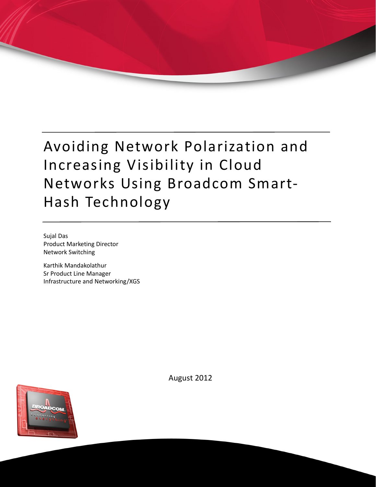# Avoiding Network Polarization and Increasing Visibility in Cloud Networks Using Broadcom Smart-Hash Technology

Sujal Das Product Marketing Director Network Switching

Karthik Mandakolathur Sr Product Line Manager Infrastructure and Networking/XGS



August 2012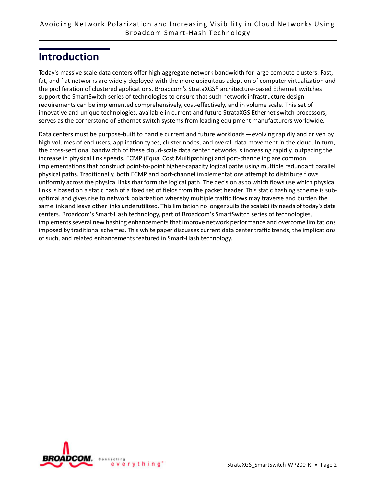#### **Introduction**

Today's massive scale data centers offer high aggregate network bandwidth for large compute clusters. Fast, fat, and flat networks are widely deployed with the more ubiquitous adoption of computer virtualization and the proliferation of clustered applications. Broadcom's StrataXGS® architecture-based Ethernet switches support the SmartSwitch series of technologies to ensure that such network infrastructure design requirements can be implemented comprehensively, cost-effectively, and in volume scale. This set of innovative and unique technologies, available in current and future StrataXGS Ethernet switch processors, serves as the cornerstone of Ethernet switch systems from leading equipment manufacturers worldwide.

Data centers must be purpose-built to handle current and future workloads — evolving rapidly and driven by high volumes of end users, application types, cluster nodes, and overall data movement in the cloud. In turn, the cross-sectional bandwidth of these cloud-scale data center networks is increasing rapidly, outpacing the increase in physical link speeds. ECMP (Equal Cost Multipathing) and port-channeling are common implementations that construct point-to-point higher-capacity logical paths using multiple redundant parallel physical paths. Traditionally, both ECMP and port-channel implementations attempt to distribute flows uniformly across the physical links that form the logical path. The decision as to which flows use which physical links is based on a static hash of a fixed set of fields from the packet header. This static hashing scheme is suboptimal and gives rise to network polarization whereby multiple traffic flows may traverse and burden the same link and leave other links underutilized. This limitation no longer suits the scalability needs of today's data centers. Broadcom's Smart-Hash technology, part of Broadcom's SmartSwitch series of technologies, implements several new hashing enhancements that improve network performance and overcome limitations imposed by traditional schemes. This white paper discusses current data center traffic trends, the implications of such, and related enhancements featured in Smart-Hash technology.

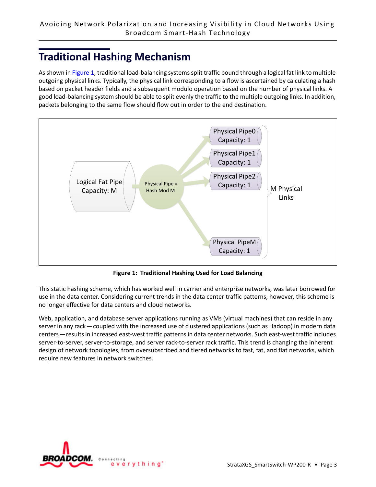# **Traditional Hashing Mechanism**

As shown in [Figure 1](#page-2-0), traditional load-balancing systems split traffic bound through a logical fat link to multiple outgoing physical links. Typically, the physical link corresponding to a flow is ascertained by calculating a hash based on packet header fields and a subsequent modulo operation based on the number of physical links. A good load-balancing system should be able to split evenly the traffic to the multiple outgoing links. In addition, packets belonging to the same flow should flow out in order to the end destination.



**Figure 1: Traditional Hashing Used for Load Balancing**

<span id="page-2-0"></span>This static hashing scheme, which has worked well in carrier and enterprise networks, was later borrowed for use in the data center. Considering current trends in the data center traffic patterns, however, this scheme is no longer effective for data centers and cloud networks.

Web, application, and database server applications running as VMs (virtual machines) that can reside in any server in any rack — coupled with the increased use of clustered applications (such as Hadoop) in modern data centers — results in increased east-west traffic patterns in data center networks. Such east-west traffic includes server-to-server, server-to-storage, and server rack-to-server rack traffic. This trend is changing the inherent design of network topologies, from oversubscribed and tiered networks to fast, fat, and flat networks, which require new features in network switches.

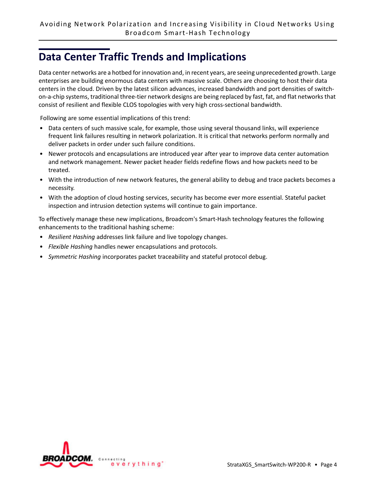# **Data Center Traffic Trends and Implications**

Data center networks are a hotbed for innovation and, in recent years, are seeing unprecedented growth. Large enterprises are building enormous data centers with massive scale. Others are choosing to host their data centers in the cloud. Driven by the latest silicon advances, increased bandwidth and port densities of switchon-a-chip systems, traditional three-tier network designs are being replaced by fast, fat, and flat networks that consist of resilient and flexible CLOS topologies with very high cross-sectional bandwidth.

Following are some essential implications of this trend:

- Data centers of such massive scale, for example, those using several thousand links, will experience frequent link failures resulting in network polarization. It is critical that networks perform normally and deliver packets in order under such failure conditions.
- Newer protocols and encapsulations are introduced year after year to improve data center automation and network management. Newer packet header fields redefine flows and how packets need to be treated.
- With the introduction of new network features, the general ability to debug and trace packets becomes a necessity.
- With the adoption of cloud hosting services, security has become ever more essential. Stateful packet inspection and intrusion detection systems will continue to gain importance.

To effectively manage these new implications, Broadcom's Smart-Hash technology features the following enhancements to the traditional hashing scheme:

- *Resilient Hashing* addresses link failure and live topology changes.
- *Flexible Hashing* handles newer encapsulations and protocols.
- *Symmetric Hashing* incorporates packet traceability and stateful protocol debug.

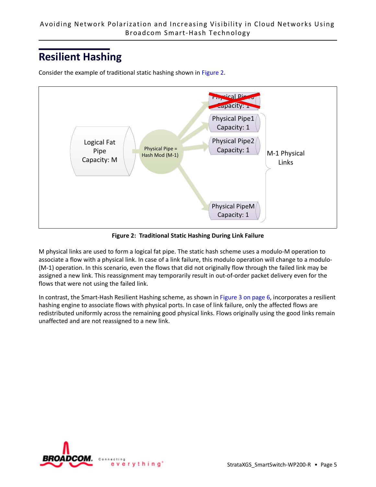# **Resilient Hashing**



Consider the example of traditional static hashing shown in [Figure 2.](#page-4-0)

**Figure 2: Traditional Static Hashing During Link Failure**

<span id="page-4-0"></span>M physical links are used to form a logical fat pipe. The static hash scheme uses a modulo-M operation to associate a flow with a physical link. In case of a link failure, this modulo operation will change to a modulo- (M-1) operation. In this scenario, even the flows that did not originally flow through the failed link may be assigned a new link. This reassignment may temporarily result in out-of-order packet delivery even for the flows that were not using the failed link.

In contrast, the Smart-Hash Resilient Hashing scheme, as shown in [Figure 3 on page 6,](#page-5-0) incorporates a resilient hashing engine to associate flows with physical ports. In case of link failure, only the affected flows are redistributed uniformly across the remaining good physical links. Flows originally using the good links remain unaffected and are not reassigned to a new link.

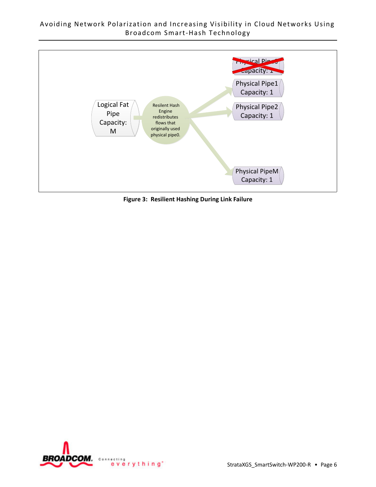

<span id="page-5-0"></span>**Figure 3: Resilient Hashing During Link Failure**

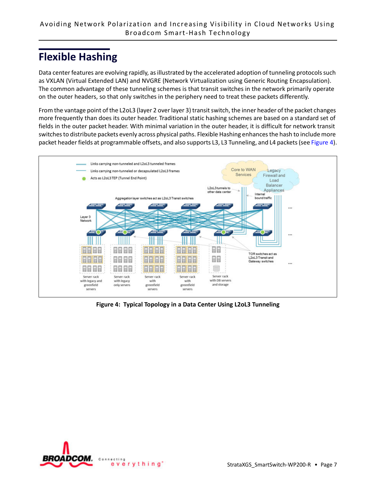# **Flexible Hashing**

Data center features are evolving rapidly, as illustrated by the accelerated adoption of tunneling protocols such as VXLAN (Virtual Extended LAN) and NVGRE (Network Virtualization using Generic Routing Encapsulation). The common advantage of these tunneling schemes is that transit switches in the network primarily operate on the outer headers, so that only switches in the periphery need to treat these packets differently.

From the vantage point of the L2oL3 (layer 2 over layer 3) transit switch, the inner header of the packet changes more frequently than does its outer header. Traditional static hashing schemes are based on a standard set of fields in the outer packet header. With minimal variation in the outer header, it is difficult for network transit switches to distribute packets evenly across physical paths. Flexible Hashing enhances the hash to include more packet header fields at programmable offsets, and also supports L3, L3 Tunneling, and L4 packets (see [Figure 4\)](#page-6-0).



<span id="page-6-0"></span>**Figure 4: Typical Topology in a Data Center Using L2oL3 Tunneling**

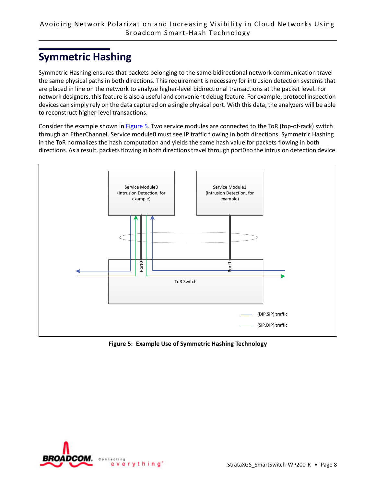# **Symmetric Hashing**

Symmetric Hashing ensures that packets belonging to the same bidirectional network communication travel the same physical paths in both directions. This requirement is necessary for intrusion detection systems that are placed in line on the network to analyze higher-level bidirectional transactions at the packet level. For network designers, this feature is also a useful and convenient debug feature. For example, protocol inspection devices can simply rely on the data captured on a single physical port. With this data, the analyzers will be able to reconstruct higher-level transactions.

Consider the example shown in [Figure 5.](#page-7-0) Two service modules are connected to the ToR (top-of-rack) switch through an EtherChannel. Service module0 must see IP traffic flowing in both directions. Symmetric Hashing in the ToR normalizes the hash computation and yields the same hash value for packets flowing in both directions. As a result, packets flowing in both directions travel through port0 to the intrusion detection device.



<span id="page-7-0"></span>**Figure 5: Example Use of Symmetric Hashing Technology**